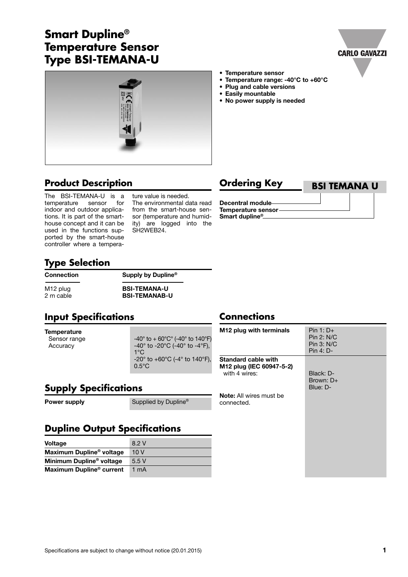# **Smart Dupline® Temperature Sensor Type BSI-TEMANA-U**





## **Product Description Ordering Key**

The BSI-TEMANA-U is a<br>temperature sensor for temperature sensor indoor and outdoor applications. It is part of the smarthouse concept and it can be used in the functions supported by the smart-house controller where a tempera-

ture value is needed. The environmental data read from the smart-house sensor (temperature and humidity) are logged into the SH2WEB24.

**• Temperature sensor**

**• Easily mountable**

**• Plug and cable versions**

**• No power supply is needed**

**• Temperature range: -40°C to +60°C**



**Decentral module Temperature sensor Smart dupline®**

## **Type Selection**

#### **Connection Supply by Dupline®**

M12 plug **BSI-TEMANA-U**<br>
2 m cable **BSI-TEMANAB-BSI-TEMANAB-U** 

### **Input Specifications**

# **Temperature**<br>Sensor range

 $-40^{\circ}$  to  $+60^{\circ}$ C° (-40° to 140°F) Accuracy  $-40^\circ$  to  $-20^\circ$ C ( $-40^\circ$  to  $-4^\circ$ F),<br> $1^\circ$ C 1°C -20° to +60°C (-4° to 140°F), 0.5°C

#### **Supply Specifications**

**Power supply** Supplied by Dupline®

### **Dupline Output Specifications**

| <b>Voltage</b>                       | 8.2 V |
|--------------------------------------|-------|
| Maximum Dupline <sup>®</sup> voltage | 10V   |
| Minimum Dupline <sup>®</sup> voltage | 5.5V  |
| Maximum Dupline <sup>®</sup> current | 1 mA  |

#### **Connections**

| M <sub>12</sub> plug with terminals                                     | $Pin 1: D+$<br>Pin 2: N/C<br>Pin 3: N/C<br>Pin 4: D- |
|-------------------------------------------------------------------------|------------------------------------------------------|
| <b>Standard cable with</b><br>M12 plug (IEC 60947-5-2)<br>with 4 wires: | Black: D-<br>Brown: D+<br>Blue: D-                   |
| <b>Note:</b> All wires must be<br>connected.                            |                                                      |
|                                                                         |                                                      |